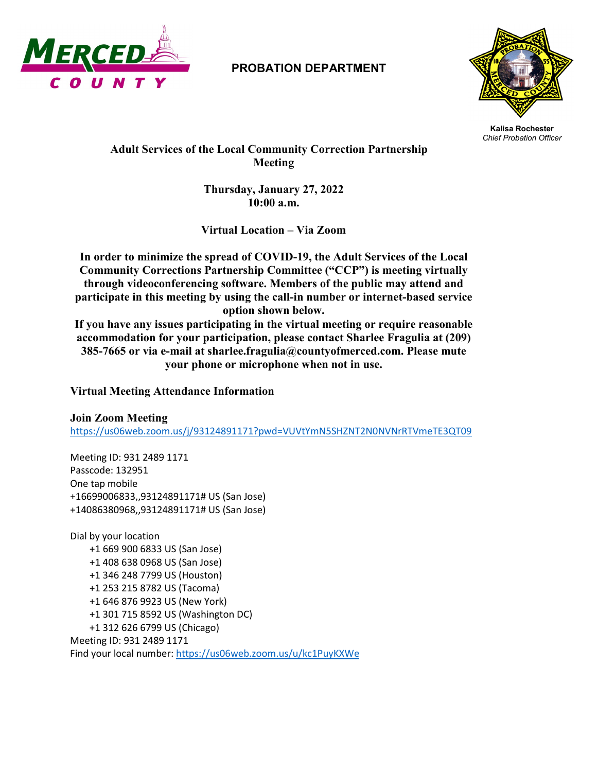

## **PROBATION DEPARTMENT**



**Kalisa Rochester** *Chief Probation Officer*

 **Adult Services of the Local Community Correction Partnership Meeting**

> **Thursday, January 27, 2022 10:00 a.m.**

**Virtual Location – Via Zoom**

**In order to minimize the spread of COVID-19, the Adult Services of the Local Community Corrections Partnership Committee ("CCP") is meeting virtually through videoconferencing software. Members of the public may attend and participate in this meeting by using the call-in number or internet-based service option shown below.**

**If you have any issues participating in the virtual meeting or require reasonable accommodation for your participation, please contact Sharlee Fragulia at (209) 385-7665 or via e-mail at sharlee.fragulia@countyofmerced.com. Please mute your phone or microphone when not in use.**

## **Virtual Meeting Attendance Information**

## **Join Zoom Meeting**

<https://us06web.zoom.us/j/93124891171?pwd=VUVtYmN5SHZNT2N0NVNrRTVmeTE3QT09>

Meeting ID: 931 2489 1171 Passcode: 132951 One tap mobile +16699006833,,93124891171# US (San Jose) +14086380968,,93124891171# US (San Jose)

Dial by your location +1 669 900 6833 US (San Jose) +1 408 638 0968 US (San Jose) +1 346 248 7799 US (Houston) +1 253 215 8782 US (Tacoma) +1 646 876 9923 US (New York) +1 301 715 8592 US (Washington DC) +1 312 626 6799 US (Chicago) Meeting ID: 931 2489 1171 Find your local number[: https://us06web.zoom.us/u/kc1PuyKXWe](https://us06web.zoom.us/u/kc1PuyKXWe)